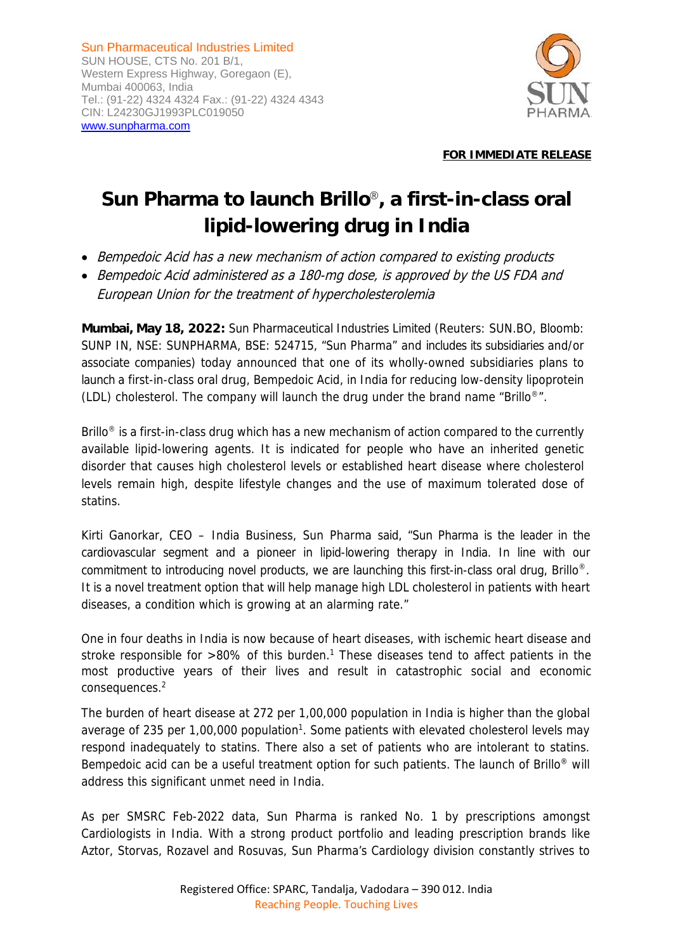Sun Pharmaceutical Industries Limited SUN HOUSE, CTS No. 201 B/1, Western Express Highway, Goregaon (E), Mumbai 400063, India Tel.: (91-22) 4324 4324 Fax.: (91-22) 4324 4343 CIN: L24230GJ1993PLC019050 www.sunpharma.com



## **FOR IMMEDIATE RELEASE**

## **Sun Pharma to launch Brillo**®**, a first-in-class oral lipid-lowering drug in India**

- Bempedoic Acid has a new mechanism of action compared to existing products
- Bempedoic Acid administered as a 180-mg dose, is approved by the US FDA and European Union for the treatment of hypercholesterolemia

**Mumbai, May 18, 2022:** Sun Pharmaceutical Industries Limited (Reuters: SUN.BO, Bloomb: SUNP IN, NSE: SUNPHARMA, BSE: 524715, "Sun Pharma" and includes its subsidiaries and/or associate companies) today announced that one of its wholly-owned subsidiaries plans to launch a first-in-class oral drug, Bempedoic Acid, in India for reducing low-density lipoprotein (LDL) cholesterol. The company will launch the drug under the brand name "Brillo<sup>®</sup>".

Brillo<sup>®</sup> is a first-in-class drug which has a new mechanism of action compared to the currently available lipid-lowering agents. It is indicated for people who have an inherited genetic disorder that causes high cholesterol levels or established heart disease where cholesterol levels remain high, despite lifestyle changes and the use of maximum tolerated dose of statins.

Kirti Ganorkar, CEO – India Business, Sun Pharma said, "Sun Pharma is the leader in the cardiovascular segment and a pioneer in lipid-lowering therapy in India. In line with our commitment to introducing novel products, we are launching this first-in-class oral drug, Brillo®. It is a novel treatment option that will help manage high LDL cholesterol in patients with heart diseases, a condition which is growing at an alarming rate."

One in four deaths in India is now because of heart diseases, with ischemic heart disease and stroke responsible for  $>80\%$  of this burden.<sup>1</sup> These diseases tend to affect patients in the most productive years of their lives and result in catastrophic social and economic consequences.<sup>2</sup>

The burden of heart disease at 272 per 1,00,000 population in India is higher than the global average of 235 per 1,00,000 population<sup>1</sup>. Some patients with elevated cholesterol levels may respond inadequately to statins. There also a set of patients who are intolerant to statins. Bempedoic acid can be a useful treatment option for such patients. The launch of Brillo® will address this significant unmet need in India.

As per SMSRC Feb-2022 data, Sun Pharma is ranked No. 1 by prescriptions amongst Cardiologists in India. With a strong product portfolio and leading prescription brands like Aztor, Storvas, Rozavel and Rosuvas, Sun Pharma's Cardiology division constantly strives to